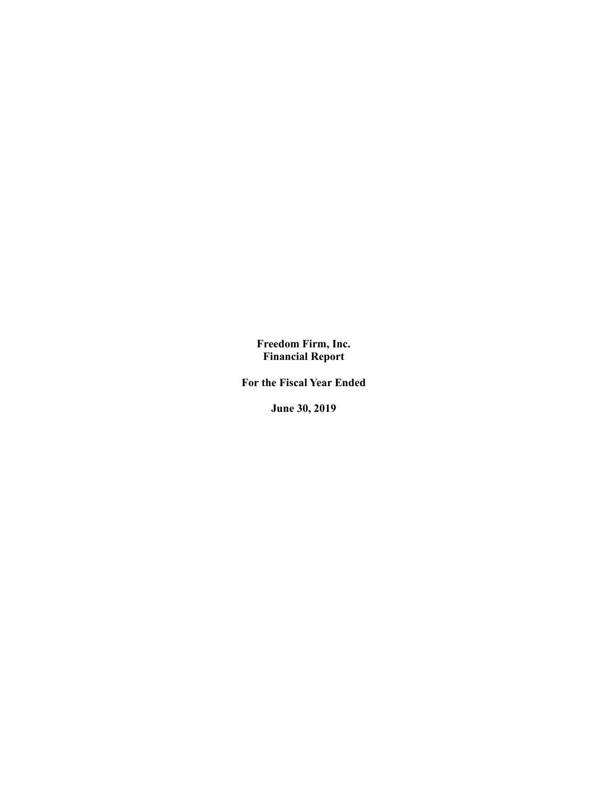**Freedom Firm, Inc. Financial Report** 

**For the Fiscal Year Ended** 

**June 30, 2019**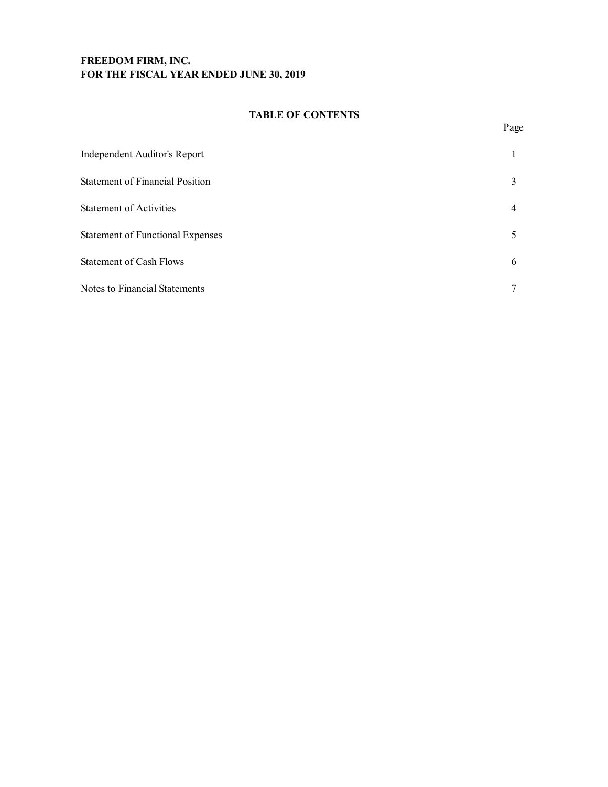# **FREEDOM FIRM, INC. FOR THE FISCAL YEAR ENDED JUNE 30, 2019**

# **TABLE OF CONTENTS**

Page

| <b>Independent Auditor's Report</b>     |   |
|-----------------------------------------|---|
| <b>Statement of Financial Position</b>  | 3 |
| <b>Statement of Activities</b>          | 4 |
| <b>Statement of Functional Expenses</b> | 5 |
| <b>Statement of Cash Flows</b>          | 6 |
| Notes to Financial Statements           |   |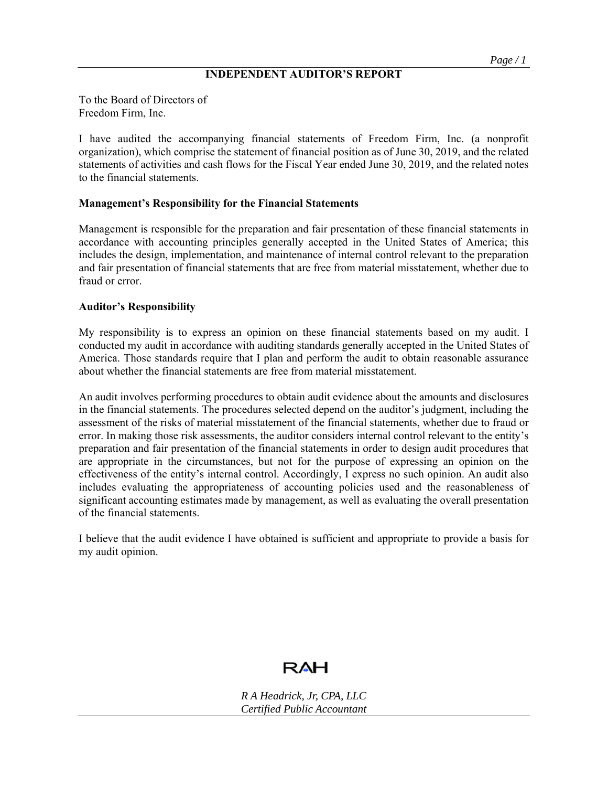## **INDEPENDENT AUDITOR'S REPORT**

To the Board of Directors of Freedom Firm, Inc.

I have audited the accompanying financial statements of Freedom Firm, Inc. (a nonprofit organization), which comprise the statement of financial position as of June 30, 2019, and the related statements of activities and cash flows for the Fiscal Year ended June 30, 2019, and the related notes to the financial statements.

## **Management's Responsibility for the Financial Statements**

Management is responsible for the preparation and fair presentation of these financial statements in accordance with accounting principles generally accepted in the United States of America; this includes the design, implementation, and maintenance of internal control relevant to the preparation and fair presentation of financial statements that are free from material misstatement, whether due to fraud or error.

## **Auditor's Responsibility**

My responsibility is to express an opinion on these financial statements based on my audit. I conducted my audit in accordance with auditing standards generally accepted in the United States of America. Those standards require that I plan and perform the audit to obtain reasonable assurance about whether the financial statements are free from material misstatement.

An audit involves performing procedures to obtain audit evidence about the amounts and disclosures in the financial statements. The procedures selected depend on the auditor's judgment, including the assessment of the risks of material misstatement of the financial statements, whether due to fraud or error. In making those risk assessments, the auditor considers internal control relevant to the entity's preparation and fair presentation of the financial statements in order to design audit procedures that are appropriate in the circumstances, but not for the purpose of expressing an opinion on the effectiveness of the entity's internal control. Accordingly, I express no such opinion. An audit also includes evaluating the appropriateness of accounting policies used and the reasonableness of significant accounting estimates made by management, as well as evaluating the overall presentation of the financial statements.

I believe that the audit evidence I have obtained is sufficient and appropriate to provide a basis for my audit opinion.



*R A Headrick, Jr, CPA, LLC Certified Public Accountant*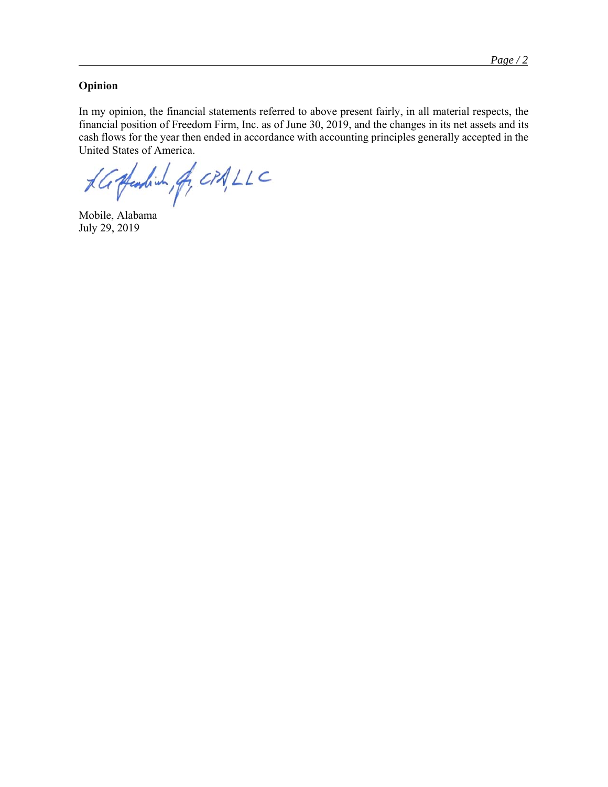#### **Opinion**

In my opinion, the financial statements referred to above present fairly, in all material respects, the financial position of Freedom Firm, Inc. as of June 30, 2019, and the changes in its net assets and its cash flows for the year then ended in accordance with accounting principles generally accepted in the

United States of America.<br>LG plants wh, G, CPA, LLC

Mobile, Alabama July 29, 2019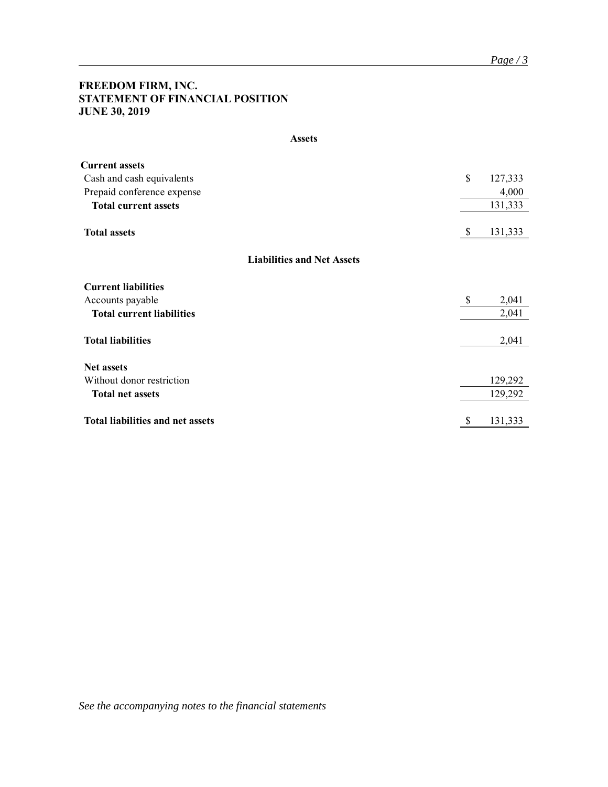## **FREEDOM FIRM, INC. STATEMENT OF FINANCIAL POSITION JUNE 30, 2019**

| <b>Current assets</b>                   |                           |         |
|-----------------------------------------|---------------------------|---------|
| Cash and cash equivalents               | $\boldsymbol{\mathsf{S}}$ | 127,333 |
| Prepaid conference expense              |                           | 4,000   |
| <b>Total current assets</b>             |                           | 131,333 |
| <b>Total assets</b>                     | \$                        | 131,333 |
| <b>Liabilities and Net Assets</b>       |                           |         |
| <b>Current liabilities</b>              |                           |         |
| Accounts payable                        | \$                        | 2,041   |
| <b>Total current liabilities</b>        |                           | 2,041   |
| <b>Total liabilities</b>                |                           | 2,041   |
| <b>Net assets</b>                       |                           |         |
| Without donor restriction               |                           | 129,292 |
| <b>Total net assets</b>                 |                           | 129,292 |
| <b>Total liabilities and net assets</b> | <sup>\$</sup>             | 131,333 |

**Assets**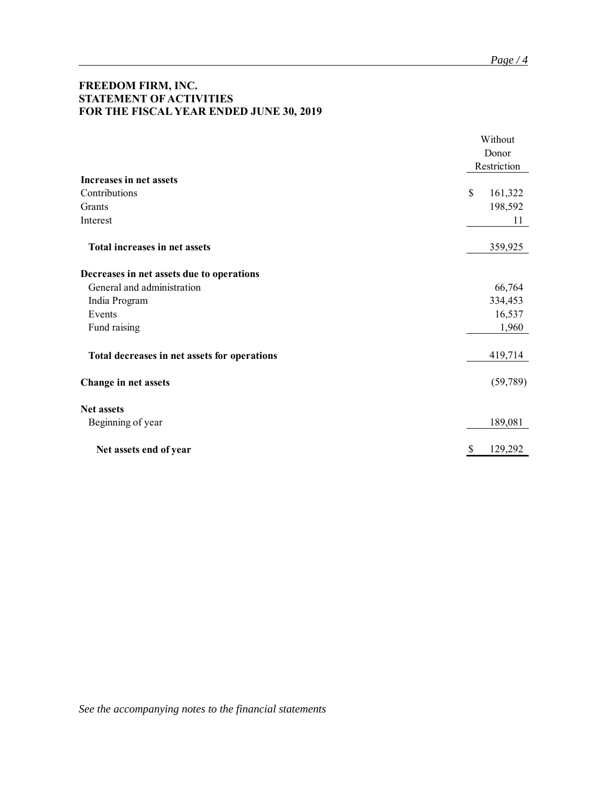## **FREEDOM FIRM, INC. STATEMENT OF ACTIVITIES FOR THE FISCAL YEAR ENDED JUNE 30, 2019**

|                                              |    | Without<br>Donor |  |
|----------------------------------------------|----|------------------|--|
|                                              |    |                  |  |
|                                              |    | Restriction      |  |
| Increases in net assets                      |    |                  |  |
| Contributions                                | \$ | 161,322          |  |
| Grants                                       |    | 198,592          |  |
| Interest                                     |    | 11               |  |
| Total increases in net assets                |    | 359,925          |  |
| Decreases in net assets due to operations    |    |                  |  |
| General and administration                   |    | 66,764           |  |
| India Program                                |    | 334,453          |  |
| Events                                       |    | 16,537           |  |
| Fund raising                                 |    | 1,960            |  |
| Total decreases in net assets for operations |    | 419,714          |  |
| Change in net assets                         |    | (59,789)         |  |
| <b>Net assets</b>                            |    |                  |  |
| Beginning of year                            |    | 189,081          |  |
| Net assets end of year                       | \$ | 129,292          |  |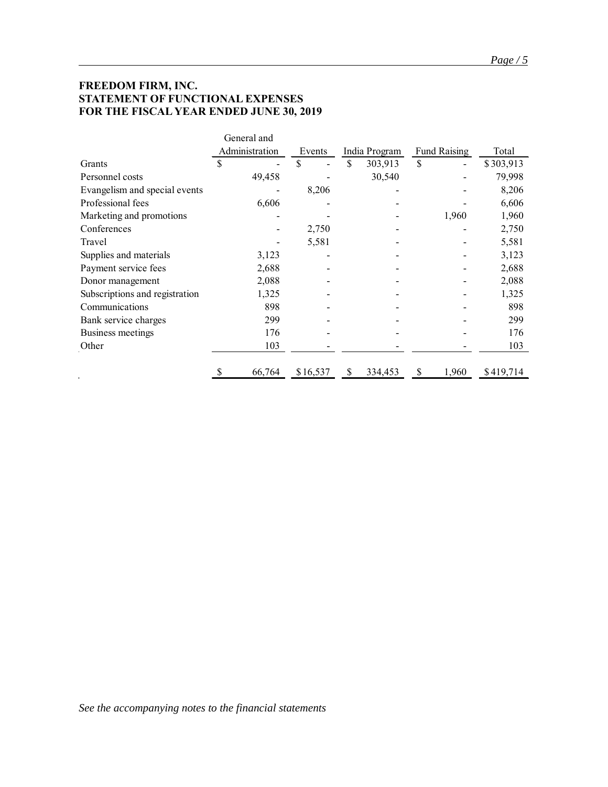# **FREEDOM FIRM, INC. STATEMENT OF FUNCTIONAL EXPENSES FOR THE FISCAL YEAR ENDED JUNE 30, 2019**

|                                |   | General and    |                         |    |                     |    |       |           |
|--------------------------------|---|----------------|-------------------------|----|---------------------|----|-------|-----------|
|                                |   | Administration | India Program<br>Events |    | <b>Fund Raising</b> |    | Total |           |
| Grants                         | S |                | \$                      | \$ | 303,913             | \$ |       | \$303,913 |
| Personnel costs                |   | 49,458         |                         |    | 30,540              |    |       | 79,998    |
| Evangelism and special events  |   |                | 8,206                   |    |                     |    |       | 8,206     |
| Professional fees              |   | 6,606          |                         |    |                     |    |       | 6,606     |
| Marketing and promotions       |   |                |                         |    |                     |    | 1,960 | 1,960     |
| Conferences                    |   |                | 2,750                   |    |                     |    |       | 2,750     |
| Travel                         |   |                | 5,581                   |    |                     |    |       | 5,581     |
| Supplies and materials         |   | 3,123          |                         |    |                     |    |       | 3,123     |
| Payment service fees           |   | 2,688          |                         |    |                     |    |       | 2,688     |
| Donor management               |   | 2,088          |                         |    |                     |    |       | 2,088     |
| Subscriptions and registration |   | 1,325          |                         |    |                     |    |       | 1,325     |
| Communications                 |   | 898            |                         |    |                     |    |       | 898       |
| Bank service charges           |   | 299            |                         |    |                     |    |       | 299       |
| Business meetings              |   | 176            |                         |    |                     |    |       | 176       |
| Other                          |   | 103            |                         |    |                     |    |       | 103       |
|                                |   | 66,764         | \$16,537                | S  | 334,453             | \$ | 1,960 | \$419,714 |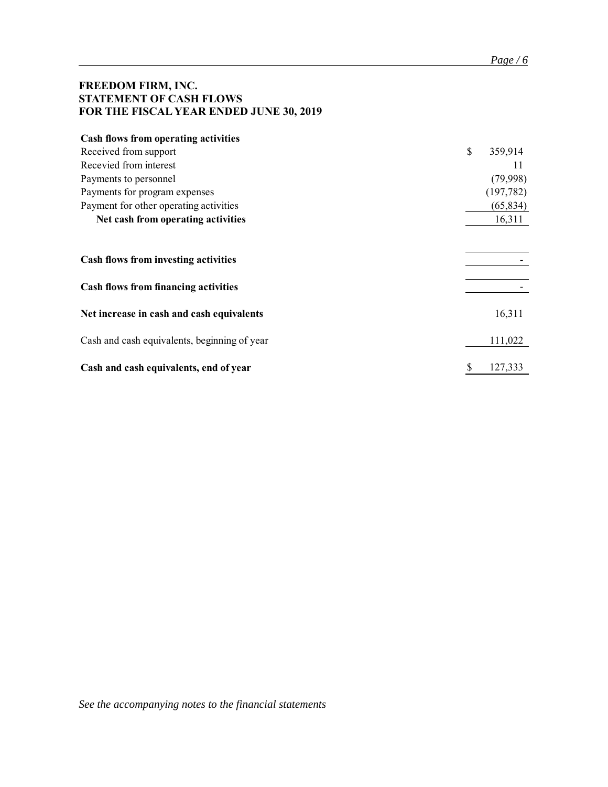# **FREEDOM FIRM, INC. STATEMENT OF CASH FLOWS FOR THE FISCAL YEAR ENDED JUNE 30, 2019**

| Cash flows from operating activities         |               |
|----------------------------------------------|---------------|
| Received from support                        | \$<br>359,914 |
| Recevied from interest                       | 11            |
| Payments to personnel                        | (79,998)      |
| Payments for program expenses                | (197, 782)    |
| Payment for other operating activities       | (65, 834)     |
| Net cash from operating activities           | 16,311        |
| <b>Cash flows from investing activities</b>  |               |
| <b>Cash flows from financing activities</b>  |               |
| Net increase in cash and cash equivalents    | 16,311        |
| Cash and cash equivalents, beginning of year | 111,022       |
| Cash and cash equivalents, end of year       | 127,333       |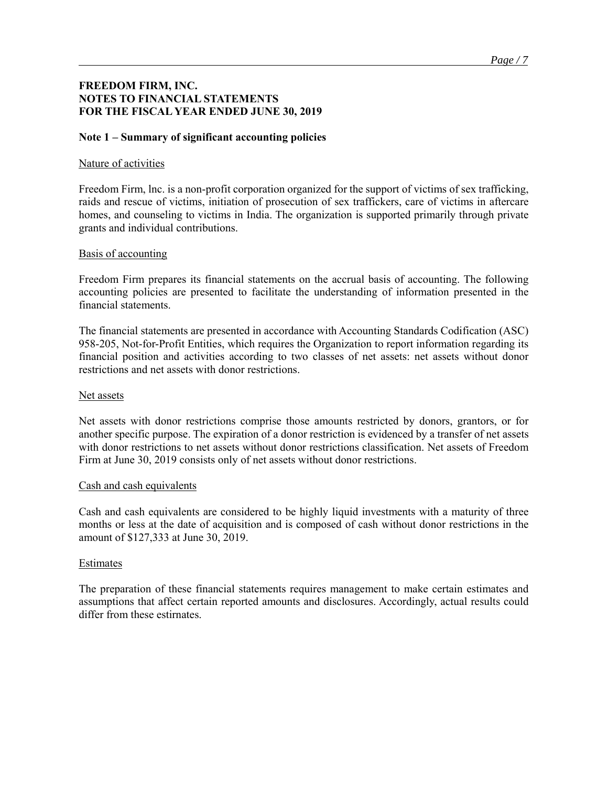## **FREEDOM FIRM, INC. NOTES TO FINANCIAL STATEMENTS FOR THE FISCAL YEAR ENDED JUNE 30, 2019**

#### **Note 1 – Summary of significant accounting policies**

#### Nature of activities

Freedom Firm, lnc. is a non-profit corporation organized for the support of victims of sex trafficking, raids and rescue of victims, initiation of prosecution of sex traffickers, care of victims in aftercare homes, and counseling to victims in India. The organization is supported primarily through private grants and individual contributions.

#### Basis of accounting

Freedom Firm prepares its financial statements on the accrual basis of accounting. The following accounting policies are presented to facilitate the understanding of information presented in the financial statements.

The financial statements are presented in accordance with Accounting Standards Codification (ASC) 958-205, Not-for-Profit Entities, which requires the Organization to report information regarding its financial position and activities according to two classes of net assets: net assets without donor restrictions and net assets with donor restrictions.

#### Net assets

Net assets with donor restrictions comprise those amounts restricted by donors, grantors, or for another specific purpose. The expiration of a donor restriction is evidenced by a transfer of net assets with donor restrictions to net assets without donor restrictions classification. Net assets of Freedom Firm at June 30, 2019 consists only of net assets without donor restrictions.

#### Cash and cash equivalents

Cash and cash equivalents are considered to be highly liquid investments with a maturity of three months or less at the date of acquisition and is composed of cash without donor restrictions in the amount of \$127,333 at June 30, 2019.

#### Estimates

The preparation of these financial statements requires management to make certain estimates and assumptions that affect certain reported amounts and disclosures. Accordingly, actual results could differ from these estirnates.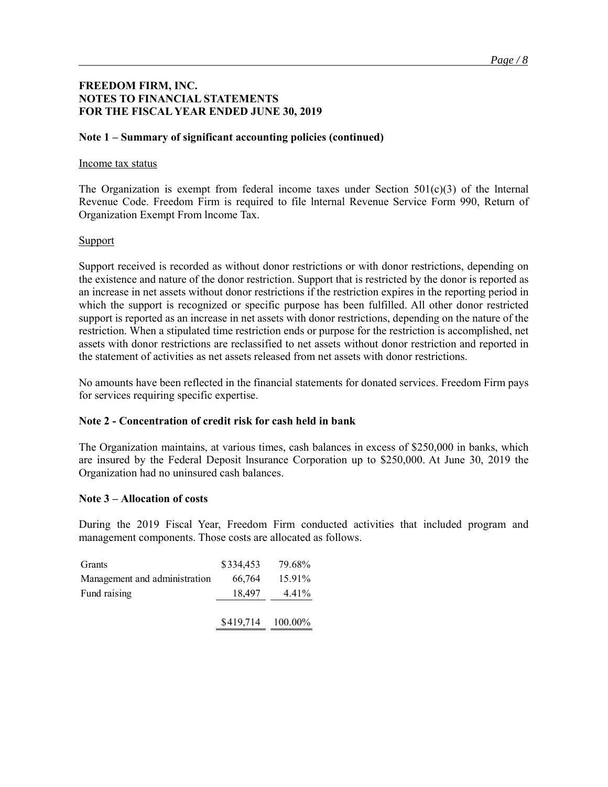## **FREEDOM FIRM, INC. NOTES TO FINANCIAL STATEMENTS FOR THE FISCAL YEAR ENDED JUNE 30, 2019**

### **Note 1 – Summary of significant accounting policies (continued)**

#### Income tax status

The Organization is exempt from federal income taxes under Section  $501(c)(3)$  of the Internal Revenue Code. Freedom Firm is required to file lnternal Revenue Service Form 990, Return of Organization Exempt From lncome Tax.

#### **Support**

Support received is recorded as without donor restrictions or with donor restrictions, depending on the existence and nature of the donor restriction. Support that is restricted by the donor is reported as an increase in net assets without donor restrictions if the restriction expires in the reporting period in which the support is recognized or specific purpose has been fulfilled. All other donor restricted support is reported as an increase in net assets with donor restrictions, depending on the nature of the restriction. When a stipulated time restriction ends or purpose for the restriction is accomplished, net assets with donor restrictions are reclassified to net assets without donor restriction and reported in the statement of activities as net assets released from net assets with donor restrictions.

No amounts have been reflected in the financial statements for donated services. Freedom Firm pays for services requiring specific expertise.

## **Note 2 - Concentration of credit risk for cash held in bank**

The Organization maintains, at various times, cash balances in excess of \$250,000 in banks, which are insured by the Federal Deposit lnsurance Corporation up to \$250,000. At June 30, 2019 the Organization had no uninsured cash balances.

#### **Note 3 – Allocation of costs**

During the 2019 Fiscal Year, Freedom Firm conducted activities that included program and management components. Those costs are allocated as follows.

| Grants                        | \$334,453         | 79.68% |
|-------------------------------|-------------------|--------|
| Management and administration | 66,764            | 15.91% |
| Fund raising                  | 18.497            | 4.41%  |
|                               |                   |        |
|                               | \$419,714 100.00% |        |